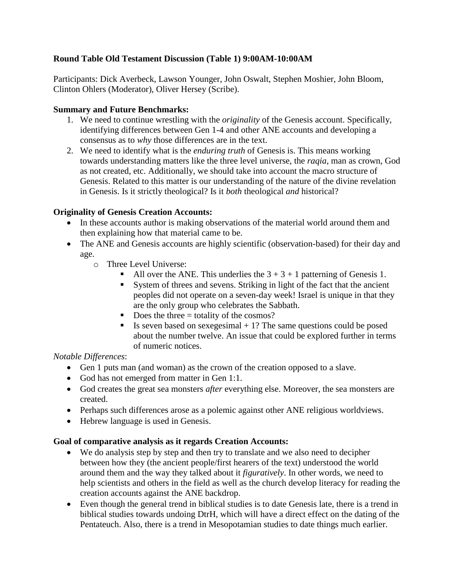# **Round Table Old Testament Discussion (Table 1) 9:00AM-10:00AM**

Participants: Dick Averbeck, Lawson Younger, John Oswalt, Stephen Moshier, John Bloom, Clinton Ohlers (Moderator), Oliver Hersey (Scribe).

## **Summary and Future Benchmarks:**

- 1. We need to continue wrestling with the *originality* of the Genesis account. Specifically, identifying differences between Gen 1-4 and other ANE accounts and developing a consensus as to *why* those differences are in the text.
- 2. We need to identify what is the *enduring truth* of Genesis is. This means working towards understanding matters like the three level universe, the *raqia*, man as crown, God as not created, etc. Additionally, we should take into account the macro structure of Genesis. Related to this matter is our understanding of the nature of the divine revelation in Genesis. Is it strictly theological? Is it *both* theological *and* historical?

# **Originality of Genesis Creation Accounts:**

- In these accounts author is making observations of the material world around them and then explaining how that material came to be.
- The ANE and Genesis accounts are highly scientific (observation-based) for their day and age.
	- o Three Level Universe:
		- All over the ANE. This underlies the  $3 + 3 + 1$  patterning of Genesis 1.
		- System of threes and sevens. Striking in light of the fact that the ancient peoples did not operate on a seven-day week! Israel is unique in that they are the only group who celebrates the Sabbath.
		- Does the three  $=$  totality of the cosmos?
		- Is seven based on sexegesimal  $+1$ ? The same questions could be posed about the number twelve. An issue that could be explored further in terms of numeric notices.

#### *Notable Differences*:

- Gen 1 puts man (and woman) as the crown of the creation opposed to a slave.
- God has not emerged from matter in Gen 1:1.
- God creates the great sea monsters *after* everything else. Moreover, the sea monsters are created.
- Perhaps such differences arose as a polemic against other ANE religious worldviews.
- Hebrew language is used in Genesis.

#### **Goal of comparative analysis as it regards Creation Accounts:**

- We do analysis step by step and then try to translate and we also need to decipher between how they (the ancient people/first hearers of the text) understood the world around them and the way they talked about it *figuratively*. In other words, we need to help scientists and others in the field as well as the church develop literacy for reading the creation accounts against the ANE backdrop.
- Even though the general trend in biblical studies is to date Genesis late, there is a trend in biblical studies towards undoing DtrH, which will have a direct effect on the dating of the Pentateuch. Also, there is a trend in Mesopotamian studies to date things much earlier.